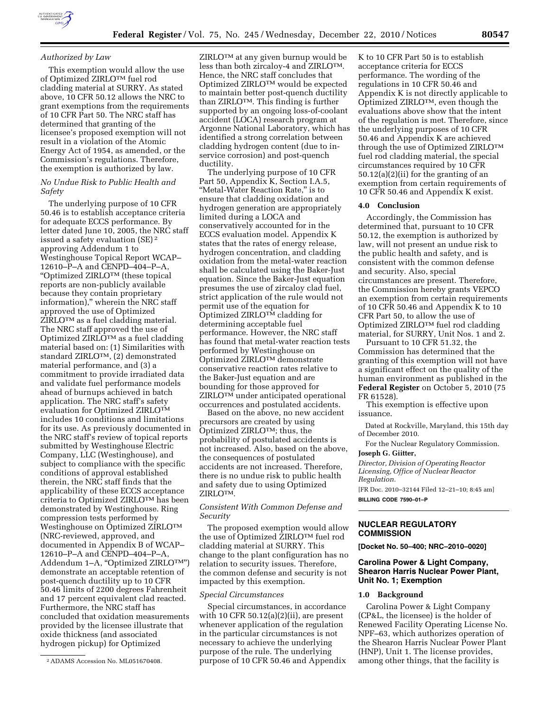### *Authorized by Law*

This exemption would allow the use of Optimized ZIRLOTM fuel rod cladding material at SURRY. As stated above, 10 CFR 50.12 allows the NRC to grant exemptions from the requirements of 10 CFR Part 50. The NRC staff has determined that granting of the licensee's proposed exemption will not result in a violation of the Atomic Energy Act of 1954, as amended, or the Commission's regulations. Therefore, the exemption is authorized by law.

# *No Undue Risk to Public Health and Safety*

The underlying purpose of 10 CFR 50.46 is to establish acceptance criteria for adequate ECCS performance. By letter dated June 10, 2005, the NRC staff issued a safety evaluation (SE) 2 approving Addendum 1 to Westinghouse Topical Report WCAP– 12610–P–A and CENPD–404–P–A, ''Optimized ZIRLOTM (these topical reports are non-publicly available because they contain proprietary information),'' wherein the NRC staff approved the use of Optimized ZIRLOTM as a fuel cladding material. The NRC staff approved the use of Optimized ZIRLOTM as a fuel cladding material based on: (1) Similarities with standard ZIRLOTM, (2) demonstrated material performance, and (3) a commitment to provide irradiated data and validate fuel performance models ahead of burnups achieved in batch application. The NRC staff's safety evaluation for Optimized ZIRLOTM includes 10 conditions and limitations for its use. As previously documented in the NRC staff's review of topical reports submitted by Westinghouse Electric Company, LLC (Westinghouse), and subject to compliance with the specific conditions of approval established therein, the NRC staff finds that the applicability of these ECCS acceptance criteria to Optimized ZIRLOTM has been demonstrated by Westinghouse. Ring compression tests performed by Westinghouse on Optimized ZIRLOTM (NRC-reviewed, approved, and documented in Appendix B of WCAP– 12610–P–A and CENPD–404–P–A, Addendum 1-A, "Optimized ZIRLOTM") demonstrate an acceptable retention of post-quench ductility up to 10 CFR 50.46 limits of 2200 degrees Fahrenheit and 17 percent equivalent clad reacted. Furthermore, the NRC staff has concluded that oxidation measurements provided by the licensee illustrate that oxide thickness (and associated hydrogen pickup) for Optimized

ZIRLOTM at any given burnup would be less than both zircaloy-4 and ZIRLOTM. Hence, the NRC staff concludes that Optimized ZIRLOTM would be expected to maintain better post-quench ductility than ZIRLOTM. This finding is further supported by an ongoing loss-of-coolant accident (LOCA) research program at Argonne National Laboratory, which has identified a strong correlation between cladding hydrogen content (due to inservice corrosion) and post-quench ductility.

The underlying purpose of 10 CFR Part 50, Appendix K, Section I.A.5, "Metal-Water Reaction Rate," is to ensure that cladding oxidation and hydrogen generation are appropriately limited during a LOCA and conservatively accounted for in the ECCS evaluation model. Appendix K states that the rates of energy release, hydrogen concentration, and cladding oxidation from the metal-water reaction shall be calculated using the Baker-Just equation. Since the Baker-Just equation presumes the use of zircaloy clad fuel, strict application of the rule would not permit use of the equation for Optimized ZIRLOTM cladding for determining acceptable fuel performance. However, the NRC staff has found that metal-water reaction tests performed by Westinghouse on Optimized ZIRLOTM demonstrate conservative reaction rates relative to the Baker-Just equation and are bounding for those approved for ZIRLOTM under anticipated operational occurrences and postulated accidents.

Based on the above, no new accident precursors are created by using Optimized ZIRLOTM; thus, the probability of postulated accidents is not increased. Also, based on the above, the consequences of postulated accidents are not increased. Therefore, there is no undue risk to public health and safety due to using Optimized ZIRLOTM.

### *Consistent With Common Defense and Security*

The proposed exemption would allow the use of Optimized ZIRLOTM fuel rod cladding material at SURRY. This change to the plant configuration has no relation to security issues. Therefore, the common defense and security is not impacted by this exemption.

#### *Special Circumstances*

Special circumstances, in accordance with 10 CFR  $50.12(a)(2)(ii)$ , are present whenever application of the regulation in the particular circumstances is not necessary to achieve the underlying purpose of the rule. The underlying purpose of 10 CFR 50.46 and Appendix K to 10 CFR Part 50 is to establish acceptance criteria for ECCS performance. The wording of the regulations in 10 CFR 50.46 and Appendix K is not directly applicable to Optimized ZIRLOTM, even though the evaluations above show that the intent of the regulation is met. Therefore, since the underlying purposes of 10 CFR 50.46 and Appendix K are achieved through the use of Optimized ZIRLOTM fuel rod cladding material, the special circumstances required by 10 CFR 50.12(a)(2)(ii) for the granting of an exemption from certain requirements of 10 CFR 50.46 and Appendix K exist.

## **4.0 Conclusion**

Accordingly, the Commission has determined that, pursuant to 10 CFR 50.12, the exemption is authorized by law, will not present an undue risk to the public health and safety, and is consistent with the common defense and security. Also, special circumstances are present. Therefore, the Commission hereby grants VEPCO an exemption from certain requirements of 10 CFR 50.46 and Appendix K to 10 CFR Part 50, to allow the use of Optimized ZIRLOTM fuel rod cladding material, for SURRY, Unit Nos. 1 and 2.

Pursuant to 10 CFR 51.32, the Commission has determined that the granting of this exemption will not have a significant effect on the quality of the human environment as published in the **Federal Register** on October 5, 2010 (75 FR 61528).

This exemption is effective upon issuance.

Dated at Rockville, Maryland, this 15th day of December 2010.

For the Nuclear Regulatory Commission. **Joseph G. Giitter,** 

*Director, Division of Operating Reactor Licensing, Office of Nuclear Reactor Regulation.* 

[FR Doc. 2010–32144 Filed 12–21–10; 8:45 am] **BILLING CODE 7590–01–P** 

### **NUCLEAR REGULATORY COMMISSION**

**[Docket No. 50–400; NRC–2010–0020]** 

# **Carolina Power & Light Company, Shearon Harris Nuclear Power Plant, Unit No. 1; Exemption**

## **1.0 Background**

Carolina Power & Light Company (CP&L, the licensee) is the holder of Renewed Facility Operating License No. NPF–63, which authorizes operation of the Shearon Harris Nuclear Power Plant (HNP), Unit 1. The license provides, among other things, that the facility is

<sup>2</sup>ADAMS Accession No. ML051670408.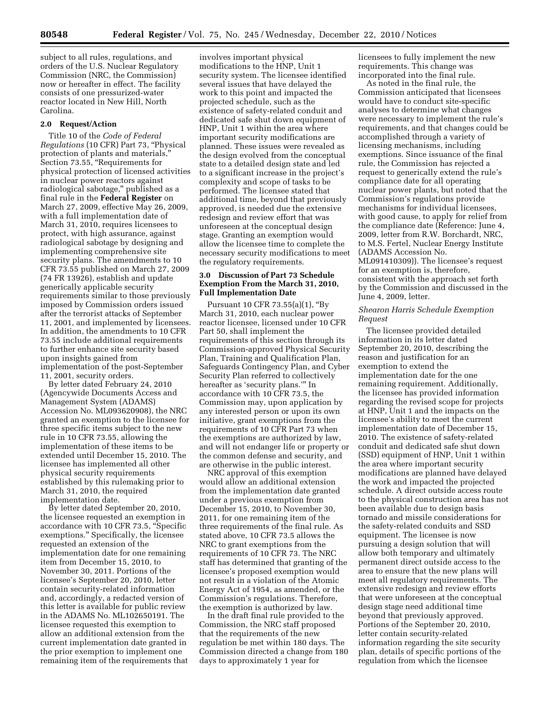subject to all rules, regulations, and orders of the U.S. Nuclear Regulatory Commission (NRC, the Commission) now or hereafter in effect. The facility consists of one pressurized-water reactor located in New Hill, North Carolina.

#### **2.0 Request/Action**

Title 10 of the *Code of Federal Regulations* (10 CFR) Part 73, ''Physical protection of plants and materials,'' Section 73.55, ''Requirements for physical protection of licensed activities in nuclear power reactors against radiological sabotage,'' published as a final rule in the **Federal Register** on March 27, 2009, effective May 26, 2009, with a full implementation date of March 31, 2010, requires licensees to protect, with high assurance, against radiological sabotage by designing and implementing comprehensive site security plans. The amendments to 10 CFR 73.55 published on March 27, 2009 (74 FR 13926), establish and update generically applicable security requirements similar to those previously imposed by Commission orders issued after the terrorist attacks of September 11, 2001, and implemented by licensees. In addition, the amendments to 10 CFR 73.55 include additional requirements to further enhance site security based upon insights gained from implementation of the post-September 11, 2001, security orders.

By letter dated February 24, 2010 (Agencywide Documents Access and Management System (ADAMS) Accession No. ML093620908), the NRC granted an exemption to the licensee for three specific items subject to the new rule in 10 CFR 73.55, allowing the implementation of these items to be extended until December 15, 2010. The licensee has implemented all other physical security requirements established by this rulemaking prior to March 31, 2010, the required implementation date.

By letter dated September 20, 2010, the licensee requested an exemption in accordance with 10 CFR 73.5, ''Specific exemptions.'' Specifically, the licensee requested an extension of the implementation date for one remaining item from December 15, 2010, to November 30, 2011. Portions of the licensee's September 20, 2010, letter contain security-related information and, accordingly, a redacted version of this letter is available for public review in the ADAMS No. ML102650191. The licensee requested this exemption to allow an additional extension from the current implementation date granted in the prior exemption to implement one remaining item of the requirements that

involves important physical modifications to the HNP, Unit 1 security system. The licensee identified several issues that have delayed the work to this point and impacted the projected schedule, such as the existence of safety-related conduit and dedicated safe shut down equipment of HNP, Unit 1 within the area where important security modifications are planned. These issues were revealed as the design evolved from the conceptual state to a detailed design state and led to a significant increase in the project's complexity and scope of tasks to be performed. The licensee stated that additional time, beyond that previously approved, is needed due the extensive redesign and review effort that was unforeseen at the conceptual design stage. Granting an exemption would allow the licensee time to complete the necessary security modifications to meet the regulatory requirements.

## **3.0 Discussion of Part 73 Schedule Exemption From the March 31, 2010, Full Implementation Date**

Pursuant 10 CFR 73.55(a)(1), ''By March 31, 2010, each nuclear power reactor licensee, licensed under 10 CFR Part 50, shall implement the requirements of this section through its Commission-approved Physical Security Plan, Training and Qualification Plan, Safeguards Contingency Plan, and Cyber Security Plan referred to collectively hereafter as 'security plans.''' In accordance with 10 CFR 73.5, the Commission may, upon application by any interested person or upon its own initiative, grant exemptions from the requirements of 10 CFR Part 73 when the exemptions are authorized by law, and will not endanger life or property or the common defense and security, and are otherwise in the public interest.

NRC approval of this exemption would allow an additional extension from the implementation date granted under a previous exemption from December 15, 2010, to November 30, 2011, for one remaining item of the three requirements of the final rule. As stated above, 10 CFR 73.5 allows the NRC to grant exemptions from the requirements of 10 CFR 73. The NRC staff has determined that granting of the licensee's proposed exemption would not result in a violation of the Atomic Energy Act of 1954, as amended, or the Commission's regulations. Therefore, the exemption is authorized by law.

In the draft final rule provided to the Commission, the NRC staff proposed that the requirements of the new regulation be met within 180 days. The Commission directed a change from 180 days to approximately 1 year for

licensees to fully implement the new requirements. This change was incorporated into the final rule.

As noted in the final rule, the Commission anticipated that licensees would have to conduct site-specific analyses to determine what changes were necessary to implement the rule's requirements, and that changes could be accomplished through a variety of licensing mechanisms, including exemptions. Since issuance of the final rule, the Commission has rejected a request to generically extend the rule's compliance date for all operating nuclear power plants, but noted that the Commission's regulations provide mechanisms for individual licensees, with good cause, to apply for relief from the compliance date (Reference: June 4, 2009, letter from R.W. Borchardt, NRC, to M.S. Fertel, Nuclear Energy Institute (ADAMS Accession No. ML091410309)). The licensee's request for an exemption is, therefore, consistent with the approach set forth by the Commission and discussed in the June 4, 2009, letter.

## *Shearon Harris Schedule Exemption Request*

The licensee provided detailed information in its letter dated September 20, 2010, describing the reason and justification for an exemption to extend the implementation date for the one remaining requirement. Additionally, the licensee has provided information regarding the revised scope for projects at HNP, Unit 1 and the impacts on the licensee's ability to meet the current implementation date of December 15, 2010. The existence of safety-related conduit and dedicated safe shut down (SSD) equipment of HNP, Unit 1 within the area where important security modifications are planned have delayed the work and impacted the projected schedule. A direct outside access route to the physical construction area has not been available due to design basis tornado and missile considerations for the safety-related conduits and SSD equipment. The licensee is now pursuing a design solution that will allow both temporary and ultimately permanent direct outside access to the area to ensure that the new plans will meet all regulatory requirements. The extensive redesign and review efforts that were unforeseen at the conceptual design stage need additional time beyond that previously approved. Portions of the September 20, 2010, letter contain security-related information regarding the site security plan, details of specific portions of the regulation from which the licensee